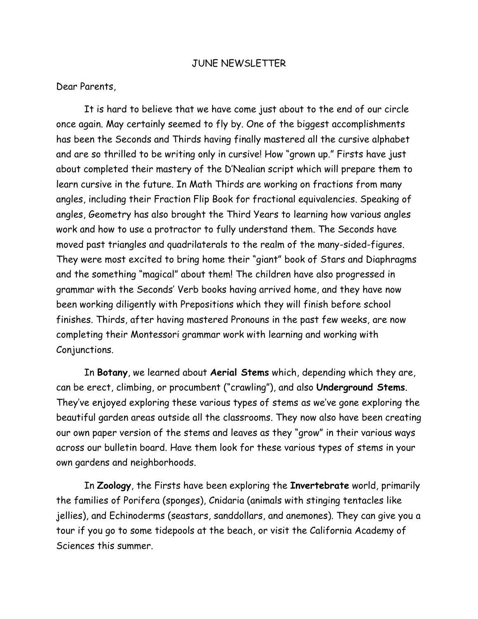## JUNE NEWSLETTER

Dear Parents,

It is hard to believe that we have come just about to the end of our circle once again. May certainly seemed to fly by. One of the biggest accomplishments has been the Seconds and Thirds having finally mastered all the cursive alphabet and are so thrilled to be writing only in cursive! How "grown up." Firsts have just about completed their mastery of the D'Nealian script which will prepare them to learn cursive in the future. In Math Thirds are working on fractions from many angles, including their Fraction Flip Book for fractional equivalencies. Speaking of angles, Geometry has also brought the Third Years to learning how various angles work and how to use a protractor to fully understand them. The Seconds have moved past triangles and quadrilaterals to the realm of the many-sided-figures. They were most excited to bring home their "giant" book of Stars and Diaphragms and the something "magical" about them! The children have also progressed in grammar with the Seconds' Verb books having arrived home, and they have now been working diligently with Prepositions which they will finish before school finishes. Thirds, after having mastered Pronouns in the past few weeks, are now completing their Montessori grammar work with learning and working with Conjunctions.

In **Botany**, we learned about **Aerial Stems** which, depending which they are, can be erect, climbing, or procumbent ("crawling"), and also **Underground Stems**. They've enjoyed exploring these various types of stems as we've gone exploring the beautiful garden areas outside all the classrooms. They now also have been creating our own paper version of the stems and leaves as they "grow" in their various ways across our bulletin board. Have them look for these various types of stems in your own gardens and neighborhoods.

In **Zoology**, the Firsts have been exploring the **Invertebrate** world, primarily the families of Porifera (sponges), Cnidaria (animals with stinging tentacles like jellies), and Echinoderms (seastars, sanddollars, and anemones). They can give you a tour if you go to some tidepools at the beach, or visit the California Academy of Sciences this summer.